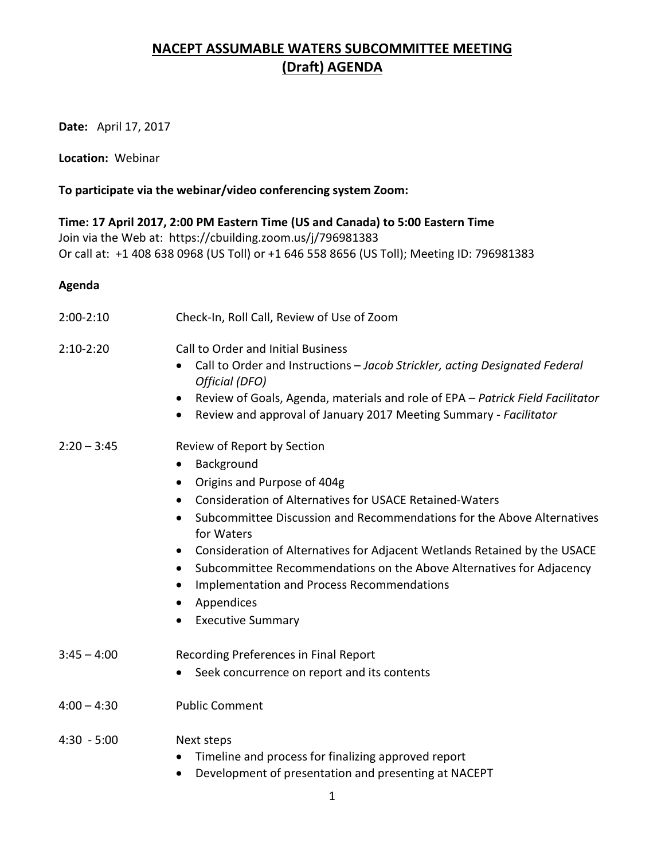## **NACEPT ASSUMABLE WATERS SUBCOMMITTEE MEETING (Draft) AGENDA**

**Date:** April 17, 2017

**Location:** Webinar

## **To participate via the webinar/video conferencing system Zoom:**

**Time: 17 April 2017, 2:00 PM Eastern Time (US and Canada) to 5:00 Eastern Time** Join via the Web at: <https://cbuilding.zoom.us/j/796981383> Or call at: +1 408 638 0968 (US Toll) or +1 646 558 8656 (US Toll); Meeting ID: 796981383

## **Agenda**

- 2:00-2:10 Check-In, Roll Call, Review of Use of Zoom 2:10-2:20 Call to Order and Initial Business • Call to Order and Instructions – *Jacob Strickler, acting Designated Federal Official (DFO)* • Review of Goals, Agenda, materials and role of EPA *– Patrick Field Facilitator* • Review and approval of January 2017 Meeting Summary - *Facilitator* 2:20 – 3:45 Review of Report by Section • Background • Origins and Purpose of 404g • Consideration of Alternatives for USACE Retained-Waters • Subcommittee Discussion and Recommendations for the Above Alternatives for Waters • Consideration of Alternatives for Adjacent Wetlands Retained by the USACE • Subcommittee Recommendations on the Above Alternatives for Adjacency • Implementation and Process Recommendations • Appendices • Executive Summary 3:45 – 4:00 Recording Preferences in Final Report • Seek concurrence on report and its contents 4:00 – 4:30 Public Comment 4:30 - 5:00 Next steps • Timeline and process for finalizing approved report
	- Development of presentation and presenting at NACEPT